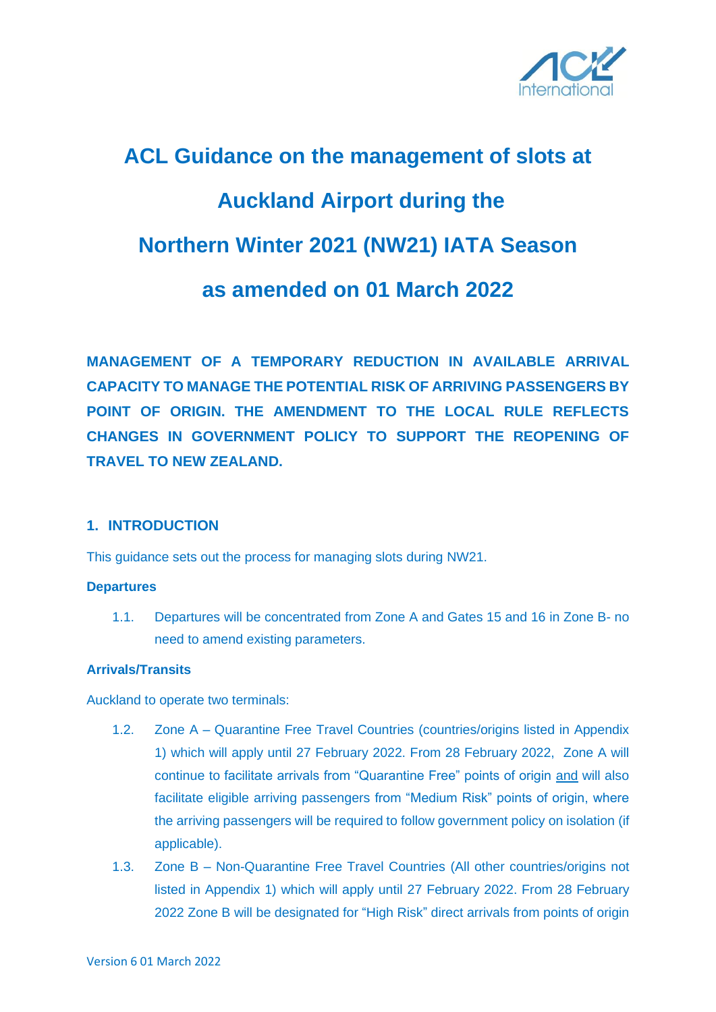

# **ACL Guidance on the management of slots at Auckland Airport during the Northern Winter 2021 (NW21) IATA Season as amended on 01 March 2022**

**MANAGEMENT OF A TEMPORARY REDUCTION IN AVAILABLE ARRIVAL CAPACITY TO MANAGE THE POTENTIAL RISK OF ARRIVING PASSENGERS BY POINT OF ORIGIN. THE AMENDMENT TO THE LOCAL RULE REFLECTS CHANGES IN GOVERNMENT POLICY TO SUPPORT THE REOPENING OF TRAVEL TO NEW ZEALAND.** 

#### **1. INTRODUCTION**

This guidance sets out the process for managing slots during NW21.

#### **Departures**

1.1. Departures will be concentrated from Zone A and Gates 15 and 16 in Zone B- no need to amend existing parameters.

#### **Arrivals/Transits**

Auckland to operate two terminals:

- 1.2. Zone A Quarantine Free Travel Countries (countries/origins listed in Appendix 1) which will apply until 27 February 2022. From 28 February 2022, Zone A will continue to facilitate arrivals from "Quarantine Free" points of origin and will also facilitate eligible arriving passengers from "Medium Risk" points of origin, where the arriving passengers will be required to follow government policy on isolation (if applicable).
- 1.3. Zone B Non-Quarantine Free Travel Countries (All other countries/origins not listed in Appendix 1) which will apply until 27 February 2022. From 28 February 2022 Zone B will be designated for "High Risk" direct arrivals from points of origin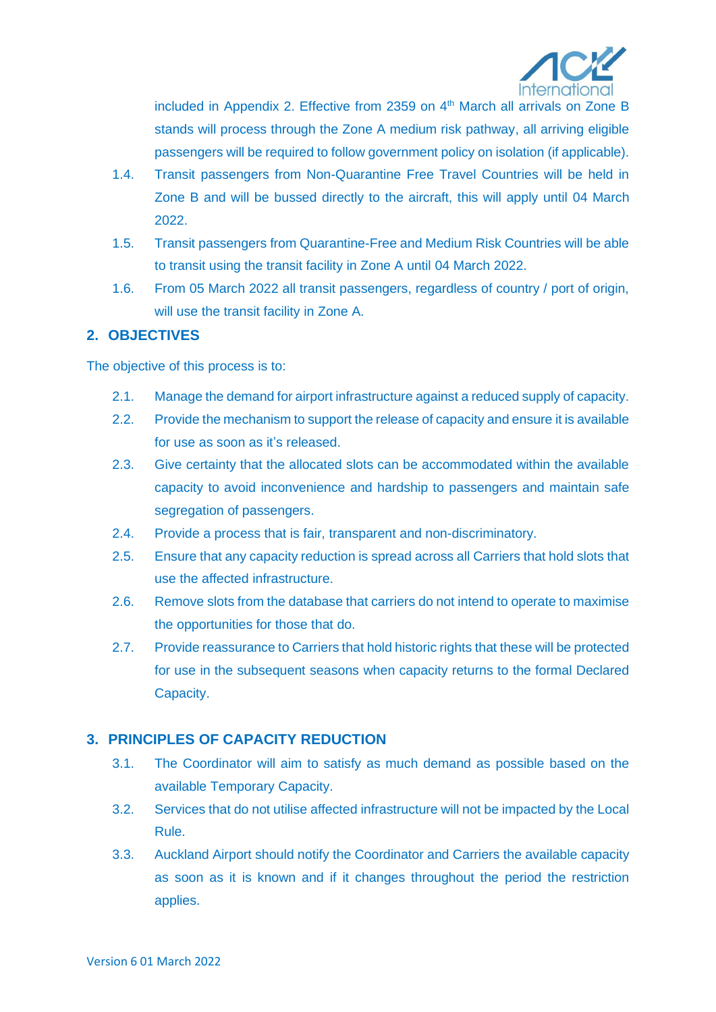

included in Appendix 2. Effective from 2359 on 4<sup>th</sup> March all arrivals on Zone B stands will process through the Zone A medium risk pathway, all arriving eligible passengers will be required to follow government policy on isolation (if applicable).

- 1.4. Transit passengers from Non-Quarantine Free Travel Countries will be held in Zone B and will be bussed directly to the aircraft, this will apply until 04 March 2022.
- 1.5. Transit passengers from Quarantine-Free and Medium Risk Countries will be able to transit using the transit facility in Zone A until 04 March 2022.
- 1.6. From 05 March 2022 all transit passengers, regardless of country / port of origin, will use the transit facility in Zone A.

## **2. OBJECTIVES**

The objective of this process is to:

- 2.1. Manage the demand for airport infrastructure against a reduced supply of capacity.
- 2.2. Provide the mechanism to support the release of capacity and ensure it is available for use as soon as it's released.
- 2.3. Give certainty that the allocated slots can be accommodated within the available capacity to avoid inconvenience and hardship to passengers and maintain safe segregation of passengers.
- 2.4. Provide a process that is fair, transparent and non-discriminatory.
- 2.5. Ensure that any capacity reduction is spread across all Carriers that hold slots that use the affected infrastructure.
- 2.6. Remove slots from the database that carriers do not intend to operate to maximise the opportunities for those that do.
- 2.7. Provide reassurance to Carriers that hold historic rights that these will be protected for use in the subsequent seasons when capacity returns to the formal Declared Capacity.

# **3. PRINCIPLES OF CAPACITY REDUCTION**

- 3.1. The Coordinator will aim to satisfy as much demand as possible based on the available Temporary Capacity.
- 3.2. Services that do not utilise affected infrastructure will not be impacted by the Local Rule.
- 3.3. Auckland Airport should notify the Coordinator and Carriers the available capacity as soon as it is known and if it changes throughout the period the restriction applies.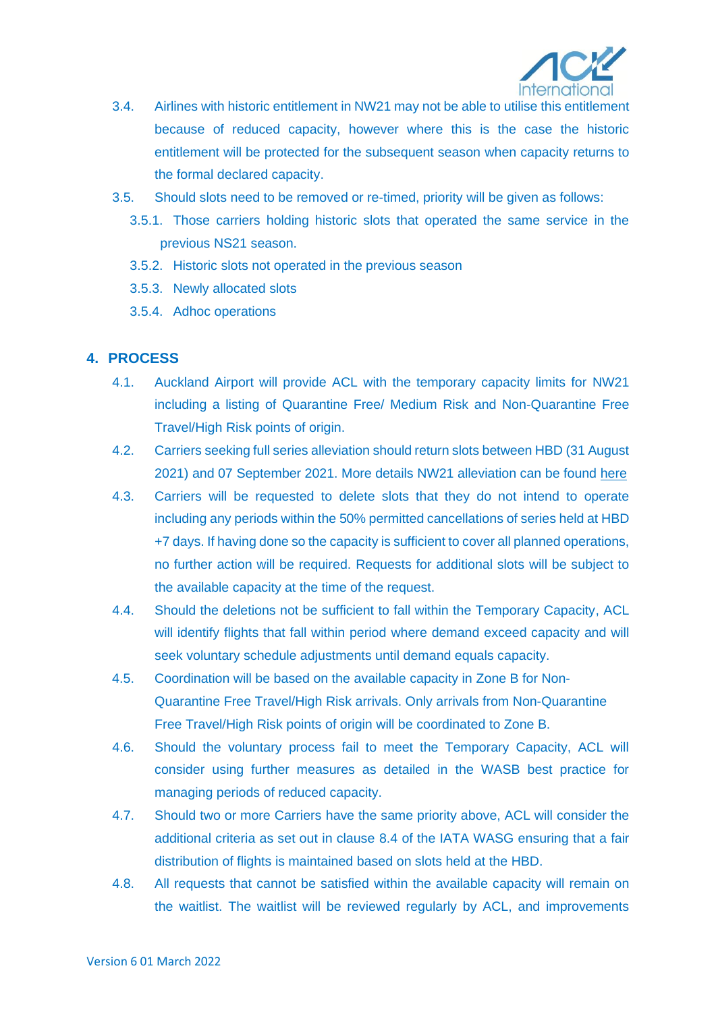

- 3.4. Airlines with historic entitlement in NW21 may not be able to utilise this entitlement because of reduced capacity, however where this is the case the historic entitlement will be protected for the subsequent season when capacity returns to the formal declared capacity.
- 3.5. Should slots need to be removed or re-timed, priority will be given as follows:
	- 3.5.1. Those carriers holding historic slots that operated the same service in the previous NS21 season.
	- 3.5.2. Historic slots not operated in the previous season
	- 3.5.3. Newly allocated slots
	- 3.5.4. Adhoc operations

## **4. PROCESS**

- 4.1. Auckland Airport will provide ACL with the temporary capacity limits for NW21 including a listing of Quarantine Free/ Medium Risk and Non-Quarantine Free Travel/High Risk points of origin.
- 4.2. Carriers seeking full series alleviation should return slots between HBD (31 August 2021) and 07 September 2021. More details NW21 alleviation can be found [here](https://www.acl-uk.org/wp-content/uploads/2021/06/SCNZL-NW21-Slot-Alleviation-Decision.pdf)
- 4.3. Carriers will be requested to delete slots that they do not intend to operate including any periods within the 50% permitted cancellations of series held at HBD +7 days. If having done so the capacity is sufficient to cover all planned operations, no further action will be required. Requests for additional slots will be subject to the available capacity at the time of the request.
- 4.4. Should the deletions not be sufficient to fall within the Temporary Capacity, ACL will identify flights that fall within period where demand exceed capacity and will seek voluntary schedule adjustments until demand equals capacity.
- 4.5. Coordination will be based on the available capacity in Zone B for Non-Quarantine Free Travel/High Risk arrivals. Only arrivals from Non-Quarantine Free Travel/High Risk points of origin will be coordinated to Zone B.
- 4.6. Should the voluntary process fail to meet the Temporary Capacity, ACL will consider using further measures as detailed in the WASB best practice for managing periods of reduced capacity.
- 4.7. Should two or more Carriers have the same priority above, ACL will consider the additional criteria as set out in clause 8.4 of the IATA WASG ensuring that a fair distribution of flights is maintained based on slots held at the HBD.
- 4.8. All requests that cannot be satisfied within the available capacity will remain on the waitlist. The waitlist will be reviewed regularly by ACL, and improvements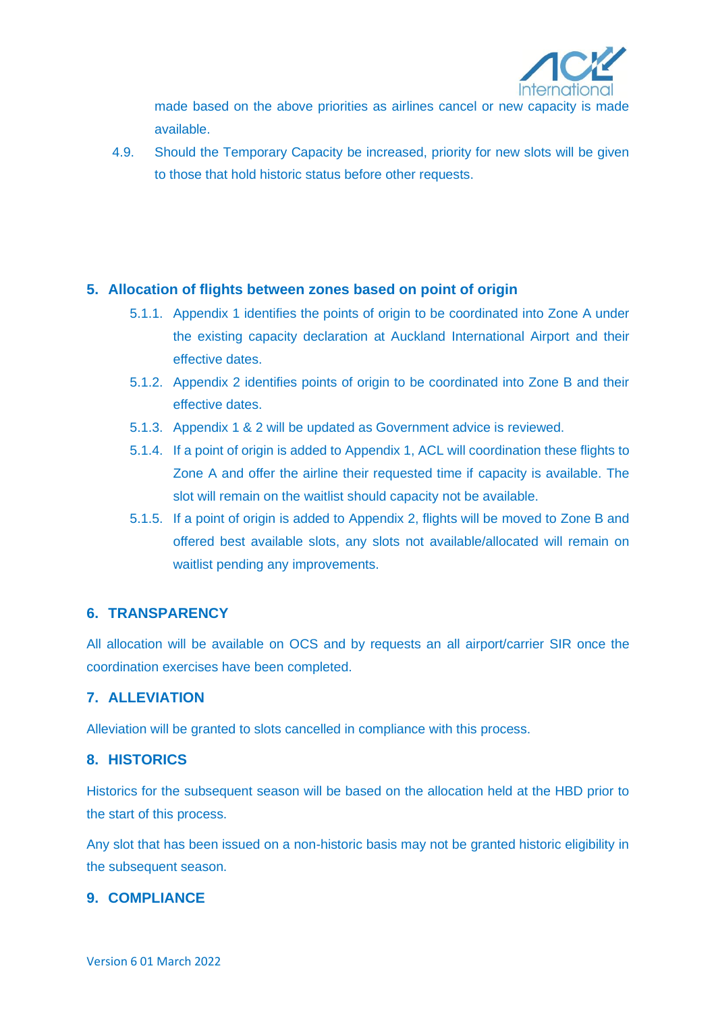

made based on the above priorities as airlines cancel or new capacity is made available.

4.9. Should the Temporary Capacity be increased, priority for new slots will be given to those that hold historic status before other requests.

#### **5. Allocation of flights between zones based on point of origin**

- 5.1.1. Appendix 1 identifies the points of origin to be coordinated into Zone A under the existing capacity declaration at Auckland International Airport and their effective dates.
- 5.1.2. Appendix 2 identifies points of origin to be coordinated into Zone B and their effective dates.
- 5.1.3. Appendix 1 & 2 will be updated as Government advice is reviewed.
- 5.1.4. If a point of origin is added to Appendix 1, ACL will coordination these flights to Zone A and offer the airline their requested time if capacity is available. The slot will remain on the waitlist should capacity not be available.
- 5.1.5. If a point of origin is added to Appendix 2, flights will be moved to Zone B and offered best available slots, any slots not available/allocated will remain on waitlist pending any improvements.

#### **6. TRANSPARENCY**

All allocation will be available on OCS and by requests an all airport/carrier SIR once the coordination exercises have been completed.

#### **7. ALLEVIATION**

Alleviation will be granted to slots cancelled in compliance with this process.

#### **8. HISTORICS**

Historics for the subsequent season will be based on the allocation held at the HBD prior to the start of this process.

Any slot that has been issued on a non-historic basis may not be granted historic eligibility in the subsequent season.

#### **9. COMPLIANCE**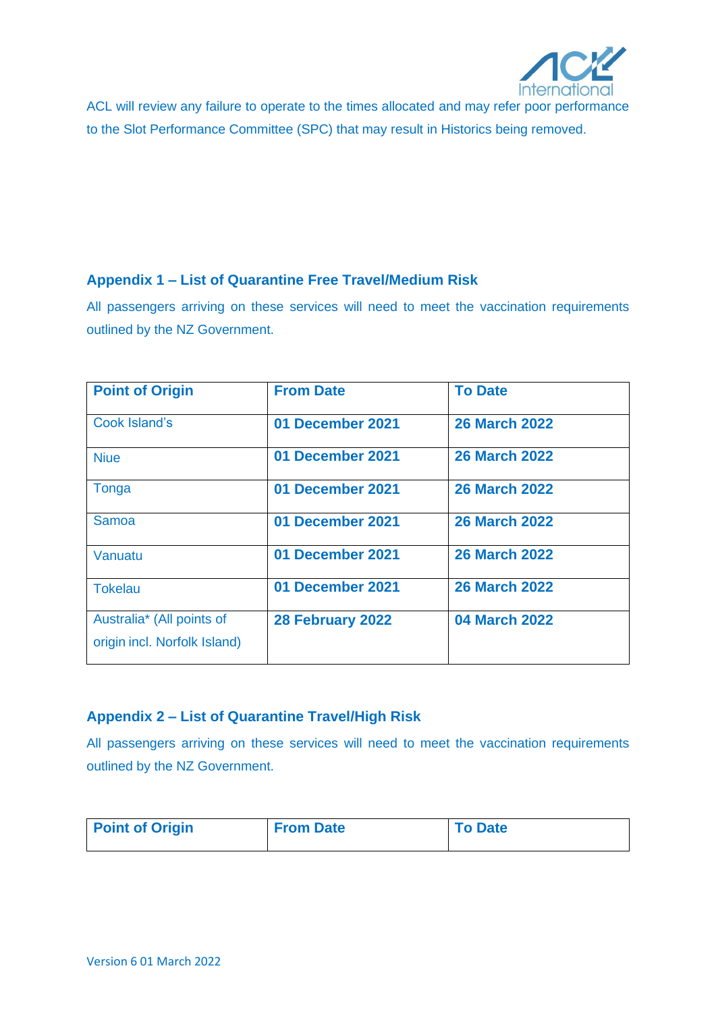

ACL will review any failure to operate to the times allocated and may refer poor performance to the Slot Performance Committee (SPC) that may result in Historics being removed.

## **Appendix 1 – List of Quarantine Free Travel/Medium Risk**

All passengers arriving on these services will need to meet the vaccination requirements outlined by the NZ Government.

| <b>Point of Origin</b>                                    | <b>From Date</b> | <b>To Date</b>       |
|-----------------------------------------------------------|------------------|----------------------|
| <b>Cook Island's</b>                                      | 01 December 2021 | <b>26 March 2022</b> |
| <b>Niue</b>                                               | 01 December 2021 | <b>26 March 2022</b> |
| Tonga                                                     | 01 December 2021 | <b>26 March 2022</b> |
| Samoa                                                     | 01 December 2021 | <b>26 March 2022</b> |
| Vanuatu                                                   | 01 December 2021 | <b>26 March 2022</b> |
| <b>Tokelau</b>                                            | 01 December 2021 | <b>26 March 2022</b> |
| Australia* (All points of<br>origin incl. Norfolk Island) | 28 February 2022 | <b>04 March 2022</b> |

# **Appendix 2 – List of Quarantine Travel/High Risk**

All passengers arriving on these services will need to meet the vaccination requirements outlined by the NZ Government.

| <b>Point of Origin</b> | <b>From Date</b> | <b>To Date</b> |
|------------------------|------------------|----------------|
|                        |                  |                |